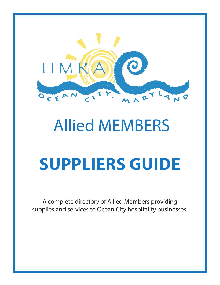

# Allied MEMBERS **SUPPLIERS GUIDE**

A complete directory of Allied Members providing supplies and services to Ocean City hospitality businesses.

*- 1 -*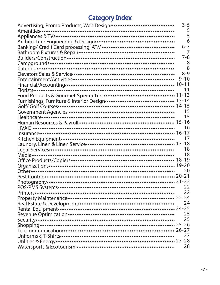## **Category Index**

|                                                                               | $3 - 5$  |
|-------------------------------------------------------------------------------|----------|
|                                                                               | 5        |
|                                                                               | 5        |
|                                                                               | 6        |
|                                                                               | $6 - 7$  |
|                                                                               | 7        |
|                                                                               | $7 - 8$  |
|                                                                               | 8        |
|                                                                               | 8        |
|                                                                               | $8 - 9$  |
| Entertainment/Activities…………………………………………………                                   | $9 - 10$ |
|                                                                               |          |
|                                                                               | 11       |
|                                                                               |          |
|                                                                               |          |
|                                                                               |          |
|                                                                               |          |
|                                                                               | 15       |
|                                                                               |          |
|                                                                               |          |
|                                                                               |          |
|                                                                               | 17       |
|                                                                               |          |
| Legal Sérvices…………………………………………………………………<br>Media…………………………………………………………………………… | 18       |
|                                                                               | 18       |
| Office Products/Copiers…………………………………………………… 18-19                             |          |
|                                                                               |          |
|                                                                               | 20       |
|                                                                               |          |
|                                                                               |          |
|                                                                               | 22       |
|                                                                               | 22       |
|                                                                               |          |
|                                                                               | 24       |
|                                                                               |          |
|                                                                               | 25       |
|                                                                               | 25       |
|                                                                               |          |
|                                                                               |          |
|                                                                               | 27       |
|                                                                               |          |
|                                                                               | 28       |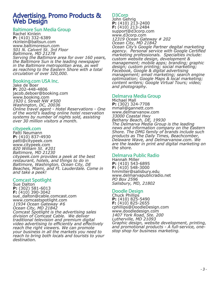## Advertising, Promo Products & **Web Design**

#### Baltimore Sun Media Group

Rachel Kinlein **P:** (410) 332-6389 rkinlein@baltsun.com www.baltimoresun.com *501 N. Calvert St. 3rd Floor Baltimore, MD 21278 Serving the Baltimore area for over 160 years, the Baltimore Sun is the leading newspaper in the Baltimore metropolitan area, as well as reaching to the Eastern Shore with a total circulation of over 320,000.*

#### Booking.com USA Inc.

Jake de Boer **P:** 202-448-4806 jacob.deboer@booking.com www.booking.com *1920 L Street NW #500 Washington, DC, 20036 Online travel agent - Hotel Reservations - One of the world's leading online hotel reservation systems by number of nights sold, assisting over 30 million visitors a month.*

#### citypeek.com

Patti Neumann **P:** (410) 837-4930 patti@citypeek.com www.citypeek.com *820 William St. #201 Baltimore, MD 21230 citypeek.com provides a peek at the best restaurant, hotels, and things to do in Baltimore, Washington, Ocean City, DE Beaches, Miami, and Ft. Lauderdale. Come in and take a peek!*

#### Comcast Spotlight

Sue Dalton **P:** (302) 581-6013 **F:** (410) 390-3042 sue\_dalton@cable.comcast.com www.comcastspotlight.com *11934 Ocean Gateway #6 Ocean City, MD 21842 Comcast Spotlight is the advertising sales division of Comcast Cable. We deliver traditional television and premium digital video advertising to efficiently and effectively reach the right viewers. We can promote your business in all the markets you need to reach to bring both locals and tourists to your destination.*

#### D3Corp

John Gehrig **P:** (410) 213-2400 **F:** (410) 213-2484 support@d3corp.com www.d3corp.com *12319 Ocean Gateway # 202 Ocean City, MD 21842 Ocean City's Google Partner degital marketing agency. Personal service with Google Certified marketing professionals. Specialties include: custom website design, development & management; mobile apps; branding; graphic design; custom printing; social marketing; Facebook, Google & digital advertising management; email marketing; search engine optimization; Google Maps & local marketing; content writers; Google Virtual Tours; video; and photography.*

#### Delmarva Media Group

Michael Mall **P:** (302) 324-7708 mmall@gannett.com www.delmarvanow.com *33000 Coastal Hwy Bethany Beach, DE, 19930 The Delmarva Media Group is the leading news and information company on the Eastern Shore. The DMG family of brands include such products as The Daily Times, Beachcomber, Delaware Wave, and Delmarvanow.com. We are the leader in print and digital marketing on the shore.*

#### Delmarva Public Radio

Hannah Miller **P:** (410) 543-6895 **F:** (410) 548-3000 hmmiller@salisbury.edu www.delmarvapublicradio.net *PO Box 2596 Salisbury, MD, 21802*

#### Doodle Design

Chuck Phillips **P:** (410) 825-5490 **F:** (410) 825-2655 cphillips@DoodleDesign.com www.doodledesign.com *1407 York Road, Ste. 200 Lutherville, MD 21093 Graphic design, website development, printing, and promotional products - A full-service, onestop shop for business marketing.*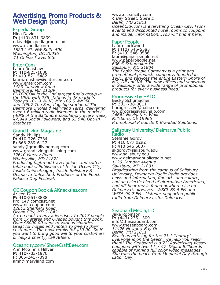## Advertising, Promo Products & Web Design (cont.)

#### Expedia Group

Nina David **P:** (410) 831-3839 ndavid@expediagroup.com www.expedia.com *1620 L St. NW Suite 500 Washington, DC 20036 #1 Online Travel Site*

#### Enter Com

Laura Renshaw **P:** 410-825-1000 **F:** 410-821-5482 laura.renshaw@entercom.com www.entercom.com *1423 Clarkview Road Baltimore, MD 21209 ENTERCOM is the 2nd largest Radio group in the USA, with 235 stations in 48 markets Today's 101.9 WLIF, Mix 106.5 WMMX, and 105.7 The Fan, flagship station of The Baltimore Orioles & Maryland Terps, delivering over 1.6 million radio listeners in the market (40% of the Baltimore population) every week, 47,949 Social Followers, and 65,948 Opt-In database*

#### Grand Living Magazine

Sandy Phillips **P:** 410-726-7334 **F:** 866-289-6127 sandy@grandlivingmag.com www.grandlivingpublishing.com *12610 Murray Road Whaleyville, MD 21872 Producing high-end travel guides and coffee table books. Publishers of Inside Ocean City, Inside Chincoteague, Inside Salisbury & Delmarva Unleashed. Producer of the Pooch Palooza Dog Festival.*

#### OC Coupon Book & AKneckties.com

Arleen Pace **P:** 410-251-8888 kroll14@comcast.net www.oc-coupon.com *12613 Sheffield Road Ocean City, MD 21842 A free book to any advertiser. In 2017 people from 17 states and Quebec bought this book. Over \$6000.00 went to various charities. Great for hotels and motels to give to their customers. The book retails for \$10.00. So if you want to bring good will to your customers or help a charity, call Arleen!*

#### Oceancity.com/ ShoreCraftBeer.com

Ann McGinnis Hillyer **P:** 410-703-1970 **F:** 866-241-7398 amh@maryland.com www.oceancity.com *4 Bay Street, Suite D Berlin, MD 21811 OceanCity.com is everything Ocean City. From events and discounted hotel rooms to coupons and insider information...you will find it here.*

#### Paper People

Laura Lockwood **P:** (410) 546-5585 **F:** (410) 546-9586 laura@paperpeople.net www.paperpeople.net *606 S Schumaker Dr Salisbury, MD 21804 The Paper People Company is a print and promotional products company, founded in 1981, and services the entire Eastern Shore of MD, DE and VA. The new offices and showroom in Salisbury offer a wide range of promotional products for every business need.*

#### Progressive by HALO

Becky Schumacher **P:** 301-738-0011 bprogressive@halo.com ww.progressivebyhalo.com *24642 Navigators Walk Millsboro, DE 19966 Promotional Products & Branded Solutions.*

#### Salisbury University/ Delmarva Public **Radio**

Stefanie Gordy **P:** 410 677 0292 **F:** 410 546 6007 skgordy@salisbury.edu www.salisbury.edu www.delmarvapublicradio.net *1120 Camden Avenue Salisbury, MD 21801 Broadcasting from the campus of Salisbury University, Delmarva Public Radio provides news and information, fine arts and culture, and an eclectic blend of alternative Americana, and off-beat music found nowhere else on Delmarva's airwaves. WSCL 89.5 FM and WSDL 90.7 FM. Listener-supported public radio from Delmarva...for Delmarva.*

#### Seaboard Media, LLC

Jake Robinson<br>**P:** (443) 235-1309 **P:** (443) 235-1309 info@theseaboard.com www.theseaboard.com *11426 Newport Bay Dr Berlin, MD 21811 Beach advertising for the 21st Century! Everyone is on the Beach, we help you reach them! The Seaboard is a 72' Advertising Vessel equipped with two 14' x 47' Digital Billboards capable of running full color video messages. She runs the beach from Memorial Day through Labor Day.*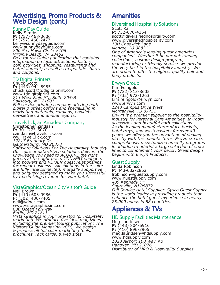## Advertising, Promo Products & Web Design (cont.)

#### Sunny Day Guide

Kelly Simms **P:** (757) 468-0606<br>**F:** (757) 468-2477<br>kelly@sunnydayguide.com www.sunnydayguide.com *800 Sea Hawk Circle #106 Virginia Beach, VA 23452 Free tourist Guide publication that contains information on local attractions, history, golf, activities, shopping, restaurants and entertainment; as well as maps, tide charts and coupons.*

#### TD Digital Printers

Chuck Scott<br>**P:** (443) 944-8985 **P:** (443) 944-8985 chuck.scott@tddigitalprint.com www.tddigitalprint.com *213 West Main St., Suite 205-B Salisbury, MD 21801 Full service printing company offering both digital & offset options and specializing in marketing materials, catalogs, booklets, newsletters and annual reports.*

#### TravelClick, an Amadeus Company

Christopher Zindash **P:** 301-775-5070 czindash@travelclick.com ww.TravelClick.com *12217 Bradbury Dr. Gaithersburg, MD 20878 Software Solutions For The Hospitality Industry Our suite of data-driven solutions delivers the knowledge you need to ACQUIRE the right guests at the right price, CONVERT shoppers into bookers and RETAIN guest relationships for repeat business. All solutions in the suite are fully interconnected, mutually supportive and uniquely designed to make you successful by maximizing revenue for your hotel.*

#### VistaGraphics/Ocean City Visitor's Guide

Neil Brown **P:** (410) 603-9986 **F:** (302) 436-7405 neil@vgnet.com www.vistagraphicsinc.com *630 Ocean Parkway Berlin, MD 21811 Vista Graphics is your one-stop for hospitality marketing. We produce five local magazines, including the premier tourist publication: The Visitors Guide Magazine(VCD). We design & produce all full color marketing tools, brochures, rack cards, & web sites.*

## **Amenities**

#### Diversified Hospitality Solutions Scott Kail

**P:** 732-670-4354 scott@diversifiedhospitality.com www.diversifiedhospitality.com *13H Chadwick Lane Monroe, NJ 08831 One of America's leading guest amenities companies! Whether it be our outstanding collections, custom design program, manufacturing or friendly service, we provide the very best in the hospitality industry. We are proud to offer the highest quality hair and body products.*

#### Erwyn Group

Kim Feingold P: (732) 813-8605 **F:** (732) 972-1263 kim.feingold@erwyn.com www.erwyn.com *1240 Campus Drive West Morganville, NJ 07751 Erwyn is a premier supplier to the hospitality industry for Personal Care Amenities, In-room acessories and beautiful bath collections. As the leading manufacturer of ice buckets, hotel trays, and wastebaskets for over 40 years, we offer you the advantage of dealing directly with the manufacturer. Erwyn creates comprehensive, customized amenity programs in addition to offerinf a large selection of stock lines to complement your decor. Great design begins with Erwyn Products.* 

#### Guest Supply

Linda Robinson **P:** 443-682-2862 lrobinson@guestsupply.com www.guestsupply.com *409 Kennedy Dr Sayreville, NJ 08872 Full Service Hotel Supplier. Sysco Guest Supply is the world leader in providing products that enhance the hotel guest experience in nearly 25,000 hotels in 88 countries.*

## Appliances & TVs

#### HD Supply Facilities Maintenance

Meg Lauridsen **P:** (443) 804-5916 **F:** (410) 896-3905 meg.lauridsen@hdsupply.com www.hdsupply.com *1020 Airport 100 Way #B Hanover, MD 21076 Distributor of MRO & Hospitality Supplies*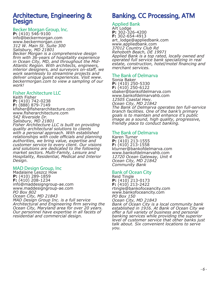## Architecture, Engineering & **Design**

#### Becker Morgan Group, Inc.

**P:** (410) 546-9100 info@beckermorgan.com www.beckermorgan.com *312 W. Main St. Suite 300 Salisbury, MD 21801*

*Becker Morgan is a comprehensive design firm with 36-years of hospitality experience in Ocean City, MD, and throughout the Mid-Atlantic Region. With architects, engineers, interior designers, and surveyors on-staff, we work seamlessly to streamline projects and deliver unique guest experiences. Visit www. beckermorgan.com to view a sampling of our work!* 

#### Fisher Architecture LLC

Keith Fisher **P:** (410) 742-0238 **F:** (888) 879-7149 kfisher@fisherarchitecture.com www.fisherarchitecture.com *542 Riverside Dr. Salisbury, MD 21801 Fisher Architecture LLC is built on providing* 

*quality architectural solutions to clients with a personal approach. With established relationships with code officials and planning authorities, we bring value, expertise and customer service to every client. Our visions and solutions are dedicated to the following market sectors. Multi-Family, Leisure and Hospitality, Residential, Medical and Interior Design.* 

#### MAD Design Group, Inc

Madalaine Leszcz How **P:** (410) 289-1859 **F:** (410) 208-1234 info@maddesigngroup-ae.com www.maddesigngroup-ae.com *PO Box 802 Ocean City, MD 21843 MAD Design Group Inc. is a full service Architectural and Engineering firm serving the Ocean City, Maryland area for over 20 years. Our personnel have expertise in all facets of residential and commercial design.*

## Banking, CC Processing, ATM

#### Applied Bank

Art Lodge **P:** 302-326-4200 **F:** 302-654-4913 art\_lodge@appliedbank.com www.appliedbank.com *37012 Country Club Rd Rehoboth Beach, DE 19971 Applied Bank is a top rated, locally owned and operated full service bank specializing in real estate, construction, hotel/motel financing and merchant services.*

#### The Bank of Delmarva

Sonia Baker **P:** (410) 250-5330 **F:** (410) 250-6122 sbaker@bankofdelmarva.com www.bankofdelmarvahb.com *12505 Coastal Hwy. Ocean City, MD 21842 The Bank of Delmarva operates ten full-service branch facilities. One of the bank's primary goals is to maintain and enhance it's public image as a sound, high quality, progressive, friendly place to conduct banking.*

#### The Bank of Delmarva

Karen Turner **P:** (410) 213-1555 **F:** (410) 213-1558 kturner@bankofdelmarva.com www.bankofdelmarvahb.com *12720 Ocean Gateway, Unit 4 Ocean City, MD 21842 Community Bank*

#### Bank of Ocean City

Reid Tingle **P:** (410) 213-0173 **F:** (410) 213-2422 rtingle@bankofoceancity.com www.bankofoceancity.com *PO Box 150 Ocean City, MD 21843 Bank of Ocean City is a local community bank established in 1916. At Bank of Ocean City we offer a full variety of business and personal banking services while providing the superior level of customer service that other banks just* 

*talk about. Six convenient locations to serve you.*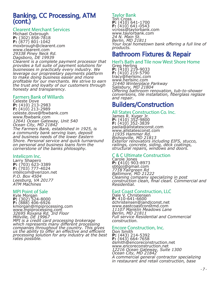## Banking, CC Processing, ATM (cont.)

#### Clearent Merchant Services

Michael Oxbrough **P:** (302) 858-7818 **F:** (877) 801-1042 moxbrough@clearent.com www.clearent.com *29338 Piney Neck Rd. Dagsboro, DE 19939 Clearent is a complete payment processor that provides a full suite of payment solutions for businesses in practically every industry. We leverage our propreietary payments platform to make doing business easier and more profitable for our merchants. We strive to earn the trust and loyalty of our customers through honesty and transparency.*

#### Farmers Bank of Willards

Celeste Dove **P:** (410) 213-2983 **F:** (410) 213-2989 celeste.dove@fbwbank.com www.fbwbank.com *12641 Ocean Gateway, Unit 540 Ocean City, MD 21842 The Farmers Bank, established in 1925, is a community bank serving loan, deposit and business needs of the lower Eastern Shore. Personal service and quick turnaround on personal and business loans form the cornerstone of the banks philosophy.*

#### Intelicom Inc.

Larry Shapero **P:** (703) 623-3389 **F:** (703) 777-4024 intelicom@verizon.net *P.O. Box 4504 Leesburg, VA 20177 ATM Machines*

#### MPI Point of Sale

Kyle Morgan **P:** (302) 524-8000<br>**F:** (888) 406-6926<br>kmorgan@mpiprocessing.com www.mpiprocessing.com *32695 Roxana Rd. 3rd Floor Millville, DE 19967 MPI is a credit card processing brokerage which represents many different processing companies throughout the country. This gives us the ability to offer an effective and efficient processing solution for any industry at the best rates possible.*

#### Taylor Bank

Tori Cross **P:** (410) 641-1700<br>**F:** (410) 641-0543<br>vcross@taylorbank.com www.taylorbank.com *24 N. Main St. Berlin, MD 21811 Your local hometown bank offering a full line of products.*

## Bathroom Fixtures & Repair

#### Herl's Bath and Tile now West Shore Home

Greg Herling **P:** (410) 219-9033<br>**F:** (410) 219-5790<br>tracy@herlsinc.com www.herlsinc.com *31440 Winterplace Parkway Salisbury, MD 21804 Offering bathroom renovation, tub-to-shower conversions, tile installation, fiberglass reglaze and repair.*

## Builders/Construction

#### All States Construction Co. Inc.

James R. Kyger Jr. **P:** (410) 352-9800<br>**F:** (410) 352-3839<br>paola@allstatesconst.com www.allstatesconst.com *11935 Hammer Rd. Bishopville, MD 21813 Exterior renovators including EIFS, stucco, railings, concrete, siding, deck coatings, structural repairs, windows and doors.*

#### C & C Ultimate Construction

Carole Jones **P: (**410) 903-8973<br>sbtgoj@gmail.com *7718 Fairgreen Rd Baltimore, MD 21222 Cleaning company specializing in post construction clean, final clean. Commercial and Residential.*

#### East Coast Construction, LLC

Dale V. Christensen **P:** 410-641-6600 dchristensen@jandjconst.net www.eastcoastconstmd.com *11107 Manklin Meadows Lane Berlin, MD 21811 Full service Residential and Commercial construction.*

#### Encore Construction, Inc.

Don Smith **P:** (443) 214-5392 **F:** (443) 664-7658 dsmith@encoreconstruction.net www.encoreconstruction.net *12216 Ocean Gateway, Suite 1300 Ocean City, MD 21842 A commercial general contractor specializing in restaurant and retail construction, base*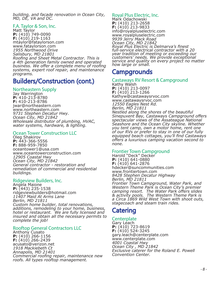*building, and facade renovation in Ocean City, MD, DE, VA and DC.* 

#### F.A. Taylor & Son, Inc.

Matt Taylor **P:** (410) 749-0090 **F:** (410) 219-1163 mtaylor@fataylorson.com www.fataylorson.com *1955 Northwood Drive Salisbury, MD 21801 Roofing and Sheet Metal Contractor. This is a 4th generation family owned and operated business. We offer a complete menu of roofing systems, expert roof repair, and maintenance programs.*

## Builders/Construction (cont.)

#### Northeastern Supply

Jay Warrington **P:** 410-213-8780 **F:** 410-213-8786 jwar@northeastern.com www.northeastern.com *9731 Stephen Decatur Hwy. Ocean City, MD 21842 Wholesale distributor of plumbing, HVAC, water systems, hardware, & lighting.*

#### Ocean Tower Construction LLC

Oleg Shakirov **P:** 443-366-5556 **F:** 888-959-7850 oceantower1@usa.com www.oceantowerconstruction.com *12905 Coastal Hwy Ocean City, MD 21842 General contractor - restoration and remediation of commercial and residential buildings.*

#### Ridgeview Builders, Inc.

Angela Maione **P:** (443) 235-1538 ridgeviewbuilders@hotmail.com *11407 Maid At Arms Lane Berlin, MD 21811 Custom home builder, total renovations, additions, remodeling to your home, business, hotel or restaurant. We are fully licensed and insured and obtain all the necessary permits to complete the job!*

#### Rooftop General Contractors LLC

Anthony Cusato **P:** (410) 266-1156 **F:** (410) 266-2439 acusato@verizon.net *1918 Mackiebeth Ct Annapolis, MD 21401 Commercial roofing repair, maintenance new roofs. All types rooftop management.*

Royal Plus Electric, Inc. Mark Odachowski **P:** (410) 213-2658 **F:** (410) 213-9833 info@royalpluselectric.com www.royalpluselectric.com *9939 Jerry Mack Road Ocean City, MD 21842 Royal Plus Electric is Delmarva's finest full-service electrical contractor with a 20 year tradition of meeting or exceeding our customers' needs. We provide exceptional service and quality on every project no matter how large or small.*

## **Campgrounds**

#### Castaways RV Resort & Campground

Kathy Walsh **P:** (410) 213-0097 **F:** (410) 213-1266 Kathyw@castawaysrvoc.com www.castawaysrvoc.com *12550 Eagles Nest Rd. Berlin, MD 21811 Nestled along the shores of the beautiful Sinepuxent Bay, Castaways Campground offers spectacular views of the Assateague National Seashore and the Ocean City skyline. Whether you tent camp, own a motor home, rent one of our RVs or prefer to stay in one of our fully equipped beach cottages, you'll find Castaways offers a luxurious camping vacation second to none.*

#### Frontier Town Campground

Harold "Deck" Decker **P:** (410) 641-0880 **F:** (410) 641-2876 hdecker@suncommunities.com www.frontiertown.com *8428 Stephen Decatur Highway Berlin, MD 21811 Frontier Town Campground, Water Park, and Western Theme Park is Ocean City's premier camping resort. The Water Park offers slides & activity pools. The Western Theme Park is a Circa 1869 Wild West Town with shoot outs, stagecoach and steam train rides.*

## **Catering**

#### **Centerplate**

Gary Leach **P:** (410) 723-8619 **F:** (410) 524-3245 gary.leach@centerplate.com www.centerplate.com *4001 Coastal Hwy Ocean City , MD 21842 Exclusive caterer for the Roland E. Powell Convention Center.*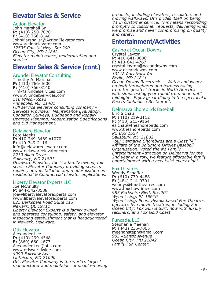## Elevator Sales & Service

#### Action Elevator

John Marshall Sr. **P:** (410) 250-7070 **F:** (410) 766-8140 JohnMarshallsr@ActionElevator.com www.actionelevator.com *12505 Coastal Hwy. Ste 200 Ocean City, MD 21842 Elevator maintenance, modernization and service*

## Elevator Sales & Service (cont.)

#### Arundel Elevator Consulting

Timothy A. Marshall **P:** (410) 766-4600 **F:** (410) 766-8140 Tim@arundelservices.com www.ArundelServices.com *510 Wilson Road Annapolis, MD 21401 Full service elevator consulting company - Services Provided: Maintenance Evaluation, Condition Surveys, Budgeting and Repair/ Upgrade Planning, Modernization Specifications and Bid Management.*

#### Delaware Elevator

Pete Meeks **P:** 410-749-3489 x1070 **F:** 410-749-2116 info@delawareelevator.com www.delawareelevator.com *2210 Allen Drive Salisbury, MD 21801 Delaware Elevator, Inc is a family owned, full service Elevator Company providing service, repairs, new installation and modernization on residential & Commercial elevator applications.* 

#### Liberty Elevator Experts LLC

Joe McAnulty **P:** 844-542-3538 joe@libertyelevatorexperts.com www.libertyelevatorexperts.com *625 Barksdale Road Suite 113 Newark, DE 19711 Liberty Elevator Experts is a family owned and operated consulting, safety, and elevator inspecting establishment that is headquartered in Newark, Delaware.*

#### Otis Elevator

Alexander Lee **P:** (410) 299-4548 **F:** (860) 660-4677 Alexander.Lee@otis.com www.otisworldwide.com *4999 Fairview Ave. Linthicum, MD 21090 Otis Elevator Company is the world's largest manufacturer and maintainer of people-moving*  *products, including elevators, escalators and moving walkways. Otis prides itself on being #1 in customer service. This means responding promptly to customer requests, delivering what we promise and never compromising on quality and safety.*

## Entertainment/Activities

#### Casino at Ocean Downs

Crystal Layton **P:** 410-641-0600 **F:** 410-641-4767 crystal.layton@oceandowns.com www.oceandowns.com *10218 Racetrack Rd. Berlin, MD 21811 Ocean Downs Racetrack - Watch and wager on both throughbred and harness racing from the greatest tracks in North America with simulcasting year round from noon until midnight. Enjoy great dining in the spectacular Pacers Clubhouse Restaurant.*

#### Delmarva Shorebirds Baseball

Eric Sichau **P:** (410) 219-3112 **F:** (410) 213-9164 esichau@theshorebirds.com www.theshorebirds.com *PO Box 1557 Salisbury, MD 21802 Your Delmarva Shorebirds are a Class "A" Affiliate of the Baltimore Orioles Baseball Organization. Voted the #1 Family Entertainment Attraction on Delmarva for the 2nd year in a row, we feature affordable family entertainment with a new twist every night.*

Fox Theatres Wendy Schaffer**P:** (610) 779-4488 **F:** (484) 214-0301 wendys@fox-theatres.com www.foxshowtimes.com *985 Berkshire Blvd. Ste.201 Wyomissing, PA 19610 Wyomissing, Pennsylvania based Fox Theatres operates five movie theatres, including 2 in Ocean City: Fox Sun & Surf, now with luxury recliners, and Fox Gold Coast.* 

#### Funcade, LLC

Stephanie Meehan **P:** (443) 235-7005 meehansteph@gmail.com *905 Atlantic Avenue Ocean City, MD 21842 Family Fun Center.*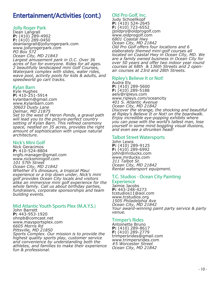## Entertainment/Activities (cont.)

#### Jolly Roger Park

Dean Langrall **P:** (410) 289-4902 **F:** (410) 289-0450 deanlangrall@jollyrogerpark.com www.jollyrogerpark.com *PO Box 572 Ocean City, MD 21843*

*Largest amusement park in O.C. Over 36 acres of fun for everyone. Rides for all ages. 2 beautifully landscaped mini Golf Courses, Waterpark complex with slides, water rides, wave pool, activity pools for kids & adults, and speedworld go cart tracks.*

#### Kylan Barn

Kyle Hughes **P:** 410-251-5914 kylanbarn@gmail.com www.Kylanbarn.com *30603 Dusty Lane Delmar, MD 21875 Set to the west of Heron Ponds, a gravel path will lead you to the picture-perfect country setting of Kylan Barn. This refined ceremony space, nestled on 35 acres, provides the right amount of sophistication with unique natural architecture.*

#### Nick's Mini Golf

Nick Geracimos **P:** 410-524-8804 nrgfs.manager@gmail.com www.nicksminigolf.com *101 57th Street Ocean City, MD 21842 Whether it's dinosaurs, a tropical Maui experience or a trip down under, Nick's mini golf provides Ocean City locals and visitors alike an immersive mini golf experience for the whole family. Call us about birthday parties, fundraisers, corporate sponsorships and team building events.*

#### Mid Atlantic Youth Sports Plex (M.A.Y.S.)

John Barrett **P:** 443-953-1920 ohnpb@comcast.net www.maysportsplex.com *6605 Morris Rd Pittsville, MD 21850 Sports Complex. Our mission is to provide the* 

*highest quality sports play, customer service and convenience by understanding both the athletes, and families to make their experience fun & professional.*

#### Old Pro Golf, Inc.

Judy Schoellkopf **P:** (410) 524-2645 **F:** (410) 723-6552 jjoldpro@oldprogolf.com www.oldprogolf.com *6801 Coastal Hwy Ocean City, MD 21842 Old Pro Golf offers four locations and 6 elaborately themed mini-golf courses all located on Coastal Hwy in Ocean City, MD. We are a family owned business in Ocean City for over 50 years and offer two indoor year round courses at 68th & 136th Streets and 2 openair courses at 23rd and 28th Streets.*

#### Ripley's Believe It or Not! Audra Ely

**P:** (410) 289-5600 **F:** (410) 289-5188 aely@ripleys.com www.ripleys.com/oceancity *401 S. Atlantic Avenue Ocean City, MD 21842 Discover the strange, the shocking and beautiful at Ripley's Believe It or Not! on the boardwalk. Enjoy incredible eye-popping exhibits where you can pose with the world's tallest man, lose yourself in some mind boggling visual illusions, and even see a shrunken head!*

#### Talbot Street Watersports

John Lewis **P:** (410) 289-9125 **F:** (410) 289-6992 john@mrducks.com www.mrducks.com *311 Talbot St. Ocean City, MD 21842 Rental watersport equipment.*

#### T.C. Studios - Ocean City Painting **Experience**

Jaimie Jacobs **P:** 443-248-4273 tcstudios11@aol.com www.tcstudios.org *1505 Philadelphia Ave Ocean City, MD 21842 Your award-winning paint party service & party venue.*

#### Trimper's Rides

Antoinette Bruno **P:** (410) 289-8617 **F:** (410) 289-2779 trimpersrides@gmail.com www.trimpersrides.com *#5 Worcester Street Ocean City, MD 21842*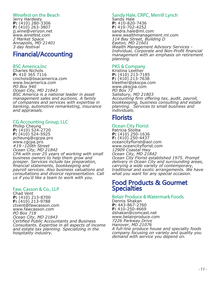#### Winefest on the Beach

Jerry Hardesty **P:** (410) 280-3306 **F:** (410) 263-3807 jj.wine@verizon.net www.winefest.com *2 Market Space Annapolis, MD 21401 3 day festival*

## Financial/Accounting

#### BSC America,Inc

Charles Nichols **P:** 410 365 7116 cnichols@bsacamerica.com www.bscamerica.com *PO Box 940 Ocean City, MD 21843 BSC America is a national leader in asset management sales and auctions. A family of companies and services with expertise in banking, automotive remarketing, insurance and appraisals.*

#### CG Accounting Group, LLC

Phillip Cheung **P:** (410) 524-2720 **F:** (410) 524-5925 pcheung@cgcpa.pro www.cgcpa.pro *#19 -120th Street Ocean City, MD 21842 CPA with over 25 years of working with small business owners to help them grow and prosper. Services include tax preparation, financial statements, bookkeeping and payroll services. Also business valuations and consultations and divorce representation. Call us if you'd like a team to work with you.* 

#### Faw, Casson & Co., LLP

Chad Vent **P:** (410) 213-8700 **F:** (410) 213-9788 ctvent@fawcasson.com www.fawcasson.com *PO Box 718 Ocean City, MD 21843 Certified Public Accountants and Business Consultants. Expertise in all aspects of income and estate tax planning. Specializing in the hospitality industry.*

#### Sandy Hale, CRPC, Merrill Lynch Sandy Hale

**P:** 410-820-7436 **F:** 410-702-4252 sandra.hale@ml.com www.wealthmanagement.ml.com *114 Bay Street, Building D Easton, MD 21601 Wealth Management Advisory Services - Individual, Corporate and Non-Profit financial management with an emphasis on retirement planning.*

#### PKS & Company

Kristina Leether **P:** (410) 213-7185 **F:** (410) 213-7638 kleether@pkscpa.com www.pkscpa.com *PO Box 72 Salisbury, MD 21803 Accounting firm offering tax, audit, payroll, bookkeeping, business consulting and estate planning. Services to small business and individuals.*

## **Florists**

#### Ocean City Florist

Patricia Stolba **P:** (410) 250-1636 **F:** (410) 250-4437 oceancityflorist@aol.com www.oceancityflorist.com *12909 Coastal Hwy Ocean City, MD 21842 Ocean City Florist established 1975. Prompt delivery in Ocean City and surrounding areas, carrying a wide variety of contemporary, traditional and exotic arrangements. We have what you want for any special occasion.*

## Food Products & Gourmet **Specialties**

#### Belair Produce & Watermark Foods

Dennis Shakan **P:** 443-867-2760 **F:** 410-250-4669 dshakan@comcast.net www.belairproduce.com *7226 Parkway Drive Hanover, MD 21076 A full-line produce house and specialty foods company focusing on variety and quality you demand with service you depend on.*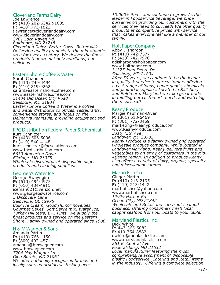#### Cloverland Farms Dairy

Joe Lawrence **P:** (410) 202-6342 x1605 **F:** (410) 773-1821 jlawrence@cloverlanddairy.com www.cloverlanddairy.com *2701 Loch Raven Rd. Baltimore, MD 21218 Cloverland Dairy- Better Cows- Better Milk. Delivering quality products to the mid-atlantic area for over a century. We deliver the finest products that are not only nutritious, but delicious.*

#### Eastern Shore Coffee & Water

Sarah Chandler **P:** (410) 749-4494 **F:** (410) 219-9262 sarah@easternshorecoffee.com www.easternshorecoffee.com *31404 Old Ocean City Road Salisbury, MD 21804 Eastern Shore Coffee & Water is a coffee and water distributor to offices, restaurants, convenience stores, and hotels on the Delmarva Peninsula, providing equipment and products.*

#### FPC Distribution Federal Paper & Chemical

Kurt Schnitzer **P:** (443) 506-5096 **F:** (410) 540-4148 kurt.schnitzer@fpcsolutions.com www.fpcdistribution.com *6630 Amberton Drive Elkridge, MD 21075 Wholesale distributor of disposable paper products and cleaning supplies.* 

#### Georgeo's Water Ice

George Swayngim **P:** (610) 494-4975 **F:** (610) 484-4911 iceman021@verizon.net www.georgeoswaterice.com *5 Discovery Lane Selbyville, DE 19975 Bulk Ice Cream, Good Humor novelties, Gourmet Cakes, Soft Serve mix, Water Ice, Turkey Hill tea's, B+J Pints. We supply the finest products and service on the Eastern Shore. Family owned and operated since 1980.* 

#### H & M Wagner & Sons

Amanda Partin **P:** (410) 766-1150 **F:** (800) 492-4571 amanda@hmwagner.com www.hmwagner.com *7204 May Wagner Ln Glen Burnie, MD 21061 We offer nationally recognized brands and locally sourced products, stocking over* 

*10,000+ items and continue to grow. As the leader in Foodservice beverage, we pride ourselves on providing our customers with the services they need to succeed! We offer quality products at competitive prices with service that makes everyone feel like a member of our family.* 

#### Holt Paper Company

Abby Disharoon **P:** (410) 742-7577 **F:** (410) 742-7976 adisharoon@holtpaper.com www.holtpaper.com *31375 John Deere Dr. Salisbury, MD 21804 After 50 years, we continue to be the leader in quality & service to our customers offering a vast range of foods, paper goods, chemicals and janitorial supplies. Located in Salisbury and Baltimore, Maryland we take great pride in fulfilling our customer's needs and watching them succeed!*

#### Keany Produce

Margie Kaufman-Diven **P:** (301) 618-5469 **F:** (301) 772-3469 marketing@keanyproduce.com www.KeanyProduce.com *3310 75th Ave Landover, MD 20785 Keany Produce is a family owned and operated wholesale produce company. While located in Landover Maryland, Keany delivers fruits and vegetables to an array of customers in the Mid-Atlantic region. In addition to produce Keany also offers a variety of dairy, organic, specialty and miscellaneous items.* 

#### Martin Fish Co.

Ginger Martin **P:** (410) 213-2195 **F:** (410) 213-1442 martinfishco@yahoo.com www.martinfishco.com *12929 Harbor Rd Ocean City, MD 21842 Wholesale and Retail and carry-out seafood business. Offering consumers fresh local caught seafood from our boats to your table.*

#### Maryland Plastics, Inc.

Dick White **P:** 443-365-5082 **F:** 410-754-8882 dwhite@mdplasticsinc.com www.marylandplastics.com *251 E. Central Ave. Federalsburg, MD 21632 Local manufacturer featuring the most comprehensive assortment of disposable plastic Foodservice, Catering and Retail items in the industry. Offering a complete selection*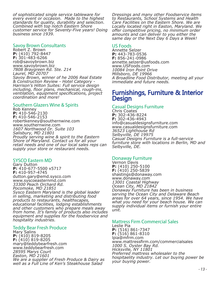*of sophisticated single service tableware for every event or occasion. Made to the highest standards for quality, durability and selection. Combined with top notch Eastern Shore customer service for Seventy-Five years! Doing business since 1939.*

#### Savoy Brown Consultants

Robert Z. Brown **P:** (410) 792-8447 **F:** 301-483-6266 rob@savoybrown.biz www.savoybrown.biz *7808 Braygreen Rd. Ste. 214 Laurel, MD 20707 Savoy Brown, winner of he 2006 Real Estate & Construction Review - Hotel Category - Harrison's Hilton Suites: Full service design including, floor plans, mechanical, rough-ins, ventilation, equipment specifications, project coordination and more!*

#### Southern Glazers Wine & Spirits

Rob Kenney **P:** 410-546-2130 **F:** 410-546-2153 robertkenney@southernwine.com www.southernwine.com *1607 Northwood Dr. Suite 103 Salisbury, MD 21801 Proudly serving wine & spirit to the Eastern Shore of Maryland. Contact us for all your retail needs and one of our local sales reps can supply your store or restaurant needs.*

#### SYSCO Eastern MD

Gary Dutton **P:** 410-677-5500 x5717 **F:** 410-957-4745 dutton.gary@emd.sysco.com www.syscoeasternmd.com *33300 Peach Orchard Rd. Pocomoke, MD 21851 Sysco Eastern Maryland is the global leader in selling, marketing and distributing food products to restaurants, healthscapes, educational facilities, lodging establishments and other customers who prepare meals away from home. It's family of products also includes equipment and supplies for the foodservice and hospitality industries.*

#### Teddy Bear Fresh Produce

Mary Salins **P:** (410) 819-8205 **F:** (410) 819-8205 mary@teddybearfresh.com www.teddybearfresh.com *28595 Marys Court Easton, MD 21601 We are a supplier of Fresh Produce & Dairy as well as a Full Line of Ken's Steakhouse Salad* 

*Dressings and many other Foodservice items to Restaurants, School Systems and Health Care Facilities on the Eastern Shore. We are Locally located right in Easton, Maryland. We offer competitive pricing, no minimum order amounts and can deliver to you either the same day or the Next Day 6 Days a Week!*

#### US Foods

Annette Selzer **P:** 443-783-0536 **F:** 856-241-0986 annette.selzer@usfoods.com www.USFoods.com *10084 Iron Point Drive Millsboro, DE 19966 A Broadline Food Distributor, meeting all your immediate and future needs.*

## Furnishings, Furniture & Interior **Design**

#### Casual Designs Furniture

Chris Coates **P:** 302-436-8224 **F:** 302-436-4943 info@casualdesignsfurniture.com www.casualdesignsfurniture.com *36523 Lighthouse Rd Selbyville, DE 19975 Casual Designs Furniture is a full-service furniture store with locations in Berlin, MD and Selbyville, DE.*

#### Donaway Furniture

Vernon Davis **P:** (410) 250-5100 **F:** (410) 250-5839 shastings@donaway.com www.donaway.com *13001 Coastal Highway Ocean City, MD 21842 Donaway Furniture has been in business serving the Ocean City and Delaware Beach areas for over 64 years, since 1954. We have what you need for your beach house. We can supply individual items or furnish your entire unit.*

#### Mattress Firm Commercial Sales

Leslie Pia **P:** (516) 861-7347 **F:** (516) 861-8310 lpia@mfrm.com www.mattressfirm.com/commercialsales *1000 S. Oyster Bay Rd. Hicksville, NY 11801 Preferred mattress wholesaler to the hospitaelity industry. Let our buying power be your buying power.*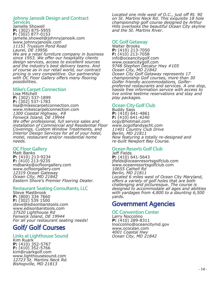#### Johnny Janosik Design and Contract Services

Jamelle Showell **P:** (302) 875-5955 **F:** (302) 877-0153 jamelle.showell@johnnyjanosik.com www.johnnyjanosik.com *11151 Trussum Pond Road Laurel, DE 19956 We are a retail furniture company in business* 

*since 1953. We offer our hospitality clients design services, access to excellent sources and the industry's best delivery teams. And of course as in our retail world, our contract pricing is very competitive. Our partnership with OC Floor Gallery offers many flooring possibilities.*

#### Mike's Carpet Connection

Lisa Mitchell **P:** (302) 537-1899 **F:** (302) 537-1783 lisa@mikescarpetconnection.com www.mikescarpetconnection.com *1300 Coastal Highway, #8 Fenwick Island, DE 19944 We offer professional, full service sales and installation of Commercial and Residential Floor Coverings, Custom Window Treatments, and Interior Design Services for all of your hotel, motel, restaurant and/or residential home needs.*

#### OC Floor Gallery

Matt Banks **P:** (410) 213-9234 **F:** (410) 213-9235 mdbanks@ocfloorgallery.com www.ocfloorgallery.com *12319 Ocean Gateway Ocean City, MD 21842 Eastern Shore's Premier Flooring Dealer.*

#### Restaurant Seating Consultants, LLC

Steve Mastbrook **P:** (800) 334 7660 **F:** (302) 539 1500 steve@edisonbarstools.com www.edisonbarstools.com *37520 Lighthouse Rd Fenwick Island, DE 19944 For all your restaurant seating needs!*

## Golf/ Golf Courses

#### Links at Lighthouse Sound

Kim Ruark **P:** (410) 352-5767 **F:** (410) 352-5766 kim@ruarkgolf.com www.lighthousesound.com *12723 St. Martins Neck Rd. Bishopville, MD 21813*

*Located one mile west of O.C., just off Rt. 90 on St. Martins Neck Rd. This exquisite 18 hole championship golf course designed by Arthur Hills overlooks the beautiful Ocean City skyline and the St. Martins River.*

#### OC Golf Getaway

Walter Brooks **P:** (410) 213-7050 **F:** (410) 213-7058 info@oceancitygolf.com www.oceancitygolf.com *9748 Stephen Decatur Hwy #105 Ocean City, MD 21842 Ocean City Golf Getaway represents 17 championship Golf courses, more than 30 Golfer friendly accommodations, Golferpreferred restaurants and services. A one stop, hassle free information service with access to live online teetime reservations and stay and play packages.*

#### Ocean City Golf Club

Buddy Sass **P:** (410) 641-4861 **F:** (410) 641-4240 ocgy@hotmail.com www.ocgolfandyacht.com *11401 Country Club Drive Berlin, MD 21811 Now featuring a totally re-designed and re-built Newport Bay Course.*

## Ocean Resorts Golf Club

Jeff Fields **P:** (410) 641-5643 jfields@oceanresortsgolfclub.com www.oceanresortsgolfclub.com *10655 Cathell Rd Berlin, MD 21811 Located 6 miles west of Ocean City Maryland, offers a variety of golf holes that are both challenging and picturesque. The course is designed to accommodate all ages and abilities with yardages from 4,800 to a daunting 6,500 yards.*

## Government Agencies

#### OC Convention Center

Larry Noccolino **P:** (410) 289-8311 lnoccolino@oceancitymd.gov www.ococean.com *4001 Coastal Hwy Ocean City, MD 21842*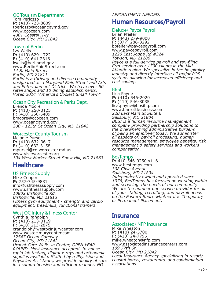#### OC Tourism Department

Tom Perlozzo **P:** (410) 723-8609 tperlozzo@oceancitymd.gov www.ococean.com *4001 Coastal Hwy Ocean City, MD 21842*

#### Town of Berlin

Ivy Wells **P:** (410) 629-1722 **F:** (410) 641 2316 iwells@berlinmd.gov www.BerlinMainStreet.com *14 S. Main Street Berlin, MD 21811 Berlin is a thriving and diverse community designated as a Maryland Main Street and Arts and Entertainment District. We have over 50 retail shops and 10 dining establishments. Voted 2014 "America's Coolest Small Town".*

#### Ocean City Recreation & Parks Dept.

Brenda Moore **P:** (410) 250-0125 **F:** (410) 250-5409 bmoore@ococean.com www.oceancitymd.gov *200 - 125th St Ocean City, MD 21842*

#### Worcester County Tourism

Melanie Pursel **P:** (410) 632-3617 **F:** (410) 632-3158 mpursel@co.worcester.md.us www.visitworcester.org *104 West Market Street Snow Hill, MD 21863*

## **Healthcare**

#### US Fitness Supply

Mike Cooper **P:** 757-745-9831 info@usfitnesssupply.com www.usfitnesssupply.com *10802 Bishopville Rd. Bishopville, MD 21813 Fitness gym equipment - strength and cardio equipment, treadmills, functional trainers.*

#### West OC Injury & Illness Center

Cynthia Randolph **P:** (410) 213-0119 **F:** (410) 213-2875 crandolph@westocinjurycenter.com www.westocinjurycenter.com *12547 Ocean Gateway Ocean City, MD 21842 Urgent Care Walk -in Center, OPEN YEAR ROUND. Most insurance accepted. In-house rapid lab testing, digital x-rays and orthopedic supplies available. Staffed by a Physicion and Physician Assistants, we provide quality of care in a comprehensive and efficient manner. NO* 

#### *APPOINTMENT NEEDED.*

## Human Resources/Payroll

#### Deluxe/ Payce Payroll

Brian Pfeifer **P:** (443) 279-9000 **F:** (877) 286-3292 bpfeifer@paycepayroll.com www.paycepayroll.com *1220 East Joppa Rd #324 Towson, MD 21286 Payce is a full-service payroll and tax-filing firm serving over 1700 clients in the Mid-Atlantic region. We specialize in the hospitality industry and directly interface all major POS systems allowing for increased efficiency and cost savings.*

#### BBSI

Lisa Payne **P:** (410) 546-2020 **F:** (410) 546-8035 lisa.payne@bbsihq.com www.barrettbusiness.com *220 East Main St Suite B Salisbury, MD 21804 BBSI is a human resource management company providing partnership solutions to the overwhelming administrative burdens of being an employer today. We administer all aspects of: payroll processing, human resource management, employee benefits, risk management & safety services and workers compensation.*

#### BesTemps

**P:** 410-546-0250 x116 www.bestemps.com *308 Civic Avenue Salisbury, MD 21804 Independently owned and operated since 1976, BesTemps has focused on working within and servicing the needs of our community. We are the number one service provider for all of your staffing, recruiting, and payroll needs on the Eastern Shore whether it is Temporary or Permanent Placement.*

## **Insurance**

#### Associated/ NFP Insurance

Mike Wheaton **P:** (410) 24-5700 **F:** (410) 24-7796 mike.wheaton@nfp.com www.associatedinsurancecenters.com *109 77th St. Ocean City, MD 21842 Local Insurance Agency specializing in resort/ coastal hotels, restaurants, and condominium associations.*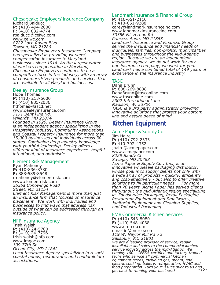#### Chesapeake Employers' Insurance Company

Richard Balducci **P:** (410) 494-2000 **F:** (410) 832-4774 rbalducci@ceiwc.com www.ceiwc.com *8722 Loch Raven Blvd. Towson, MD 21286 Chesapeake Employer's Insurance Company has specialized in providing workers' compensation insurance to Maryland businesses since 1914. As the largest writer of workers compensation in Maryland, Chesapeake Employers continues to be a competitive force in the industry, with an array of consumer-driven products and services that are available to all Maryland businesses.*

#### Deeley Insurance Group

Hope Thomas **P:** (410) 213-5600 **F:** (410) 835-2036 hthomas@ascd.net www.deeleyinsurance.com *7171 Bent Pine Rd. Willards, MD 21874 Founded in 1929, Deeley Insurance Group is an independent agency specializing in the Hospitality Industry, Community Associations and Coastal Property Insurance for more than 15,000 businesses and individuals across 30 states. Combining deep industry knowledge with youthful leadership, Deeley offers a different kind of insurance experience- helpful, intentional, and optimistic.* 

#### Element Risk Management

Ryan Mahoney **P:** 410-836-8780 **F:** 888-589-8548 rmahoney@elementrisk.com www.elementrisk.com *3535a Conowingo Road Street, MD 21154 Element Risk Management is more than just an insurance firm that focuses on insurance placement. We work with individuals and businesses to find ways that address risk outside of what can be addressed through an insurance policy.*

#### NFP Insurance Agency

Trish Walsh **P:** (410) 24-5700 **F:** (410) 24-7796 trish.walsh@nfp.com www.imgoc.com *109 77th St. Ocean City, MD 21842 Local Insurance Agency specializing in resort/ coastal hotels, restaurants, and condominium associations.* 

#### Landmark Insurance & Financial Group **P:** 410-651-2110

**F:** 410-651-9288 carey@landmarkinsuranceinc.com www.landmarkinsuranceinc.com *30386 Mt Vernon Rd Princess Anne, MD 21853 Landmark Insurance and Financial Group serves the insurance and financial needs of individuals, families, non-profits, municipalities and businesses throughout the Mid-Atlantic region. Because we are an independent insurance agency, we do not work for any one insurance company, we work for you. Landmark has a combined total of 149 years of experience in the insurance industry.* 

#### **TASC**

Dana Brunn **P:** 608-269-8838 DanaBrunn@tasconline.com www.tasconline.com *2302 International Lane Madison, WI 53704 TASC is a 3rd party administrator providing innovative solutions that protect your bottom line and assure peace of mind.*

## Kitchen Equipment

#### Acme Paper & Supply Co

Jim Haire **P:** (410) 792-2333 **F:** 410-792-4352 jhaire@acmepaper.com www.acmepaper.com *8229 Sandy Ct Savage, MD 20763 Acme Paper & Supply Co., Inc., is an innovative wholesale packaging distributor, whose goal is to supply clients not only with a wide array of products - quickly, efficiently and cost-effectively - but also to offer creative solutions to fill particular needs. For more than 70 years, Acme Paper has served clients throughout the mid-Atlantic region specializing in Foodservice Packaging, Retail Packaging, Restaurant Equipment and Smallwares, Janitorial Equipment and Cleaning Supplies, and Industrial Packaging.*

#### EMR Commercial Kitchen Services

*- 16 -* **P:** (410) 543-8080 **F:** (410) 548-4038 www.emrco.com emartin@emrco.com *119 W. Naylor Mill Rd #2 Salisbury, MD 21801 We are a leading provider of service, repair, installation and sales to the commercial kitchen service industry across the mid-Atlantic. We employ 100+ CFESA-certified and factory-trained techs who service all commercial kitchen equipment needs, including gas, steam, and electric cooking, bakery, refrigeration, HVAC and food preparation. Turn your issues over to us and get back to running your business!*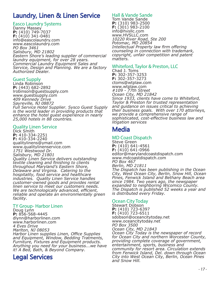## Laundry, Linen & Linen Service

#### Easco Laundry Systems

Danny Massey **P:** (410) 749-7037 **F:** (410) 341-0481 info@eascolaundry.com www.eascolaundry.com *PO Box 3461 Salisbury, MD 21802 Eastern Shore's leading supplier of commercial laundry equipment, for over 28 years. Commercial Laundry Equipment Sales and Service, Design and Planning. We are a factory Authorized Dealer.*

#### Guest Supply

Linda Robinson **P:** (443) 682-2892 lrobinson@guestsupply.com www.guestsupply.com *409 Kennedy Drive Sayreville, NJ 08872 Full Service Hotel Supplier. Sysco Guest Supply is the world leader in providing products that enhance the hotel guest experience in nearly 25,000 hotels in 88 countries.*

#### Quality Linen Service

Dick Smith **P:** 410-334-2251 **F:** 410-334-2240 qualitylinens@ymail.com www.qualitylinenservice.com *1751 Westwood Dr. Salisbury, MD 21801 Quality Linen Service delivers outstanding textile cleaning and finishing to clients throughout Maryland's Eastern Shore, Delaware and Virginia. Catering to the hospitality, food service and healthcare industries. Quality Linen Service handles customer-owned goods and provides rental linen service to meet our customers needs. We are technologically advanced, efficient, reliable and operate an environmentally green facility.*

#### TY Group- Harbor Linen

Doug Lynn **P:** 856-568-4445 dlynn@harborlinen.com www.harborlinen.com *4 Eves Drive Marlton, NJ 08053 Harbor Linen supplies Linen, Office Supplies and Equipment, Window, Bedding Tratments, Furniture, Fixtures and Equipment products. Anything you need for your business...we have it! A Bed, Bath, & Beyond Company.*

## Legal Services

#### Hall & Vande Sande Tom Vande Sande **P:** (310) 983-2500 **F:** (301) 983-2100 info@hvsllc.com www.HVSLLC.com *10220 River Road, Ste 200 Potomac, MD 20854 Intellectual Property law firm offering counseling in connection with trademark, copyright, unfair competition and patent*

#### Whiteford, Taylor & Preston, LLC

Chad J. Toms **P:** 302-357-3253 **F:** 302-357-3273 ctoms@wtplaw.com www.wtplaw.com *#109 - 77th Street Ocean City, MD 21842 Since 1933, clients have come to Whiteford, Taylor & Preston for trusted representation and guidance on issues critical to achieving their business goals. With over 170 attorneys, we provide a comprehensive range of sophisticated, cost-effective business law and* 

## **Media**

*matters.*

#### MD Coast Dispatch

*litigation services*

Steve Green **P:** (410) 641-4561 **F:** (410) 641-0966 editor@marylandcoastdispatch.com www.mdcoastdispatch.com *PO Box 467 Berlin, MD 21811 The Dispatch has been publishing in the Ocean City, West Ocean City, Berlin, Snow Hill, Ocean Pines, Fenwick Island and Bethany Beach area since 1984. Two years ago, the newspaper expanded to neighboring Wicomico County. The Dispatch is published 52 weeks a year and is distributed every Friday.* 

#### Ocean City Today

Stewart Dobson **P:** (410) 723-6397 **F:** (410) 723-6511 sdobson@oceancitytoday.net www.oceancitytoday.net *PO Box 3500 Ocean City, MD 21843 Ocean City Today is the newspaper of record for Ocean City and northern Worcester County, providing complete coverage of government, entertainment, sports, business and community for resort area. Circulation extends from Fenwick Island, Del. down through Ocean City into West Ocean City, Berlin, Ocean Pines and Snow Hill.*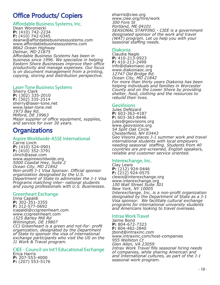## Office Products/ Copiers

#### Affordable Business Systems, Inc.

Dean Woroniecki **P:** (410) 742-2234 **F:** (410) 742-0345 deanw@affordablebusinesssystems.com www.affordablebusinesssystems.com *8662 Ocean Highway Delmar, MD 21875 Affordable Business Systems has been in* 

*business since 1996. We specialize in helping Eastern Shore Businesses improve their office productivity and manage expenses. Our focus is on document management from a printing, copying, storing and distribution perspective.*

#### Laser Tone Business Systems

Sherry Clark **P:** (302) 335-2010 **F:** (302) 335-2514 sherry@laser-tone.net www.laser-tone.net *1973 Bay Rd. Milford, DE 19963 Major supplier of office equipment, supplies, and service for over 30 years.* 

## **Organizations**

#### Aspire Worldwide-ASSE International

Carrie Linch **P:** (410) 524-0901 **F:** (410) 352-3791 clinch@asse.com www.aspireworldwide.org *5000 Coastal Hwy, Suite 2 Ocean City, MD 21842 Non-profit J-1 Visa Sponsor. Official sponsor organization designated by the U.S. Department of State to administer the J-1 Visa Programs matching inter- national students and young professionals with U.S. Businesses.*

#### Greenheart Exchange

Irina Capaldi **P:** 302-351-3355 **F:** 312-577-0692 icapaldi@ccigreenheart.com www.ccigreenheart.com *1525 Barley Mill Rd Wilmington, DE 19807 CCI Greenheart is a green and not-for- profit organization, designated by the Department of State to sponsor the visa of international exchange participants who visit the US on the J1 Work & Travel program.*

#### CIEE - Council on Int'l Educational Exchange Erica Harris **P:** 207-553-4000

**F:** (207) 553-5176

eharris@ciee.org www.ciee.org/hire/work *300 Fore St Portland, ME 04101 SEASONAL STAFFING - CIEE is a government designated sponsor of the work and travel (WAT) program. Let us help you with your seasonal staffing needs.*

#### Diakonia

Claudia Nagle **P:** 410-213-0923 **F:** 410-213-2499 info@diakoniaoc.org www.diakoniaoc.org *12747 Old Bridge Rd. Ocean City, MD 21842 For more than thirty years Diakonia has been helping individuals and families in Worcester County and on the Lower Shore by providing shelter, food, clothing and the resources to rebuild their lives.*

#### GeoVisions

Jules DeNizard **P:** 603-363-4187 **F:** 603-363-8446 jules@geovisions.org www.geovisions.org *54 Split Oak Circle Chesterfield, NH 03443 Geo Visions places J-1 summer work and travel international students with local employers needing seasonal staffing. Students from 40 countries are pre-screened, English speakers, reliable and customer service oriented.*

#### Interexchange, Inc.

Clay Lewis **P:** (212) 924-0446 **F:** (212) 924-0575 clewis@interexchange.org www.interexchange.org *100 Wall Street Suite 301 New York, NY 10005 Interexchange, Inc. is a non-profit organization designated by the Department of State as a J-1 Visa sponsor. We facilitate cultural exchange programs for international university students and Americans looking to travel overseas.*

#### Intrax Work Travel

Jaime Bond **P:** 804-672-7323 **F:** 804-482-2840 jbond@intraxinc.com www.intraxinc.com/host-companies *955 Wellston Ct Glen Allen, VA 23059 Intrax Work Travel fills seasonal hiring needs of companies, while sharing American and and International cultures, as part of the J-1 seasonal work program.*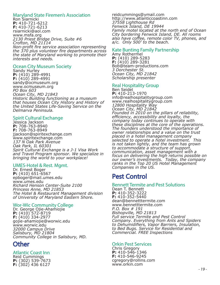#### Maryland State Firemen's Association

Ron Siarnicki **P:** 410-721-6212 **F:** 410-721-6213 rsiarnicki@aol.com www.msfa.org *2130 Priest Bridge Drive, Suite #6 Crofton, MD 21114 Non-profit fire service association representing the 370 plus volunteer fire departments across the state of Maryland working to promote their interests and needs.*

#### Ocean City Museum Society

Sandy Hurley **P:** (410) 289-4991 **F:** (410) 289-4991 sandy@ocmuseum.org www.ocmuseum.org *PO Box 603 Ocean City, MD 21843 Historic Building functioning as a museum that houses Ocean City History and History of the United States Life-Saving Service on the Delmarva Peninsula.*

#### Spirit Cultural Exchange

Jessica Jackson **P:** 708-763-8940 **F:** 708-763-8949 jjackson@spiritexchange.com www.spiritexchange.com *137 N Oak Park Avenue Oak Park, IL 60301 Spirit Cultural Exchange is a J-1 Visa Work and Travel Program sponsor. We specialize in bringing the world to your workplace!* 

#### UMES-Hotel & Rest. Mgmt.

Dr. Ernest Boger **P:** (410) 651-6567 epboger@mail.umes.edu www.umes.edu *Richard Henson Center-Suite 2100 Princess Anne, MD 21853 The Hotel & Restaurant Management division of University of Maryland Eastern Shore.*

#### Wor-Wic Community College

Dr. George Ojie-Ahamiojie **P:** (410) 572-8719 **F:** (410) 334-2977 gojie-ahamiojie@worwic.edu www.worwic.edu *32000 Campus Drive Salisbury, MD 21804 Community College in Salisbury, MD.*

## **Other**

#### Atlantic Coast Inn

Reid Cummings **P:** (302) 539-7673 **F:** (302) 436 6127

reidcummings@ymail.com http://www.atlanticcoastinn.com *37558 Lighthouse Rd Fenwick Island, DE 19944 Family motel located at the north end of Ocean City bordering Fenwick Island, DE. All rooms also have coffee, remote color TV, phones, and a/c. Only 500' to the beach.* 

#### Kate Bunting Family Partnership

Amy Rothermel **P:** (410) 289-5283 **F:** (410) 289-3281 Bob@team-productions.com *3 Dorchester St. Ocean City, MD 21842 Scholarship presenter*

#### Real Hospitality Group

Ben Seidel **P:** 410-213-1970 info@realhospitalitygroup.com www.realhospitalitygroup.com *12800 Hospitality Way Ocean City, MD 21842 Founded in 2010 on the pillars of reliability, efficiency, accessibility and loyalty, the company today continues to operate with these disciplines at the core of the operations. The founders understood the importance of owner relationships and a value on the trust placed in a hotel management company selected to operate a hotel investment. This is not taken lightly, and the team has grown to accommodate a structure of support, communication, asset management with a focus on delivering the high returns possible on our owner's investments. Today, the company ranks in the Top 20 US Hotel Management Companies in the US.*

## Pest Control

#### Bennett Termite and Pest Solutions

Dean T. Bennett **P:** 410-352-3222 **F:** 410-352-5440 dean@bennetttermite.com www.bennetttermite.com *P.O. Box # 191 Bishopville, MD 21813 Full service Termite and Pest Control Company. Everything from Ants and Spiders to Dehumidifiers, Vapor Barriers, Insulation, to Bed Bugs. Service for Residential and Commercial. FREE Inspections*

#### Orkin Pest Services

Chris Gregory **P:** 410-546-1346 **F:** 410-546-9245 cgregory@rollins.com www.orkin.com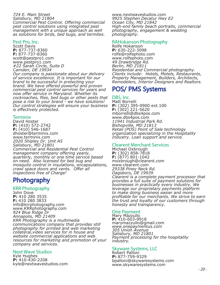*724 E. Main Street Salisbury, MD 21804 Commercial Pest Control. Offering commercial pest control solutions using integrated pest management with a unique approach as well as solutions for birds, bed bugs, and termites.*

#### Pest Pro, Inc.

Scott Davis **P:** 877-737-8360 **F:** 877-737-8360 scott@pestpro1.com www.pestpro1.com *#22 Sarah Circle, Suite D Camden, DE 19934 Our company is passionate about our delivery of service excellence. It is important for our brand to be successful in protecting your brand. We have offered powerful and proven commercial pest control services for years and now offer service in Maryland. Whether its cockroaches, flies, bed bugs or other pests that pose a risk to your brand - we have solutions! Our control strategies will ensure your business is effectively protected.*

#### **Terminix**

David Hoster **P:** (410) 572-2742 **F:** (410) 546-1687 dhoster@terminix.com www.terminix.com *2020 Shipley Dr. Unit A5 Salisbury, MD 21801 Commercial and Residential Pest Control management company offering yearly, quarterly, monthly or one time service based on need. Also licensed for bed bug and mosquito control in insulations, encapsulations, crawl space doors and vents. Offer all inspections free of Charge!*

## Photography

KRR Photography John Dove **P:** 410 280 3535 **F:** 410 280 3833 info@krrphotography.com www.KRRphotography.com *924 Blue Ridge Dr Annapolis, MD 21409 KRR Photography is a multimedia communications company that provides still photography for printed and web marketing collateral,video services for in house and website commercial applications and web resources for marketing and promotion of your company and services.* 

#### Next Wave Studios

Kyle Hughes **P:** 410-430-2208 kyle@nextwavestudios.com

www.nextwavestudios.com *9925 Stephen Decatur Hwy E2 Ocean City, MD 21842 High-end family beach portraits, commercial photography, engagement & wedding photography.*

#### RAHokanson Photography

Rolfe Hokanson **P:** 630-222-3098 rolfe@rolfephoto.com www.rolfephoto.com *49 Drawbridge Rd. Berlin, MD 21811 Residential and Commercial photography. Clients include: Hotels, Motels, Restaurants, Property Management, Builders, Architects, Remodelers, Interior Designers and Realtors.*

## POS/ PMS Systems

#### DBS, Inc.

Matt Borrelli **P:** (302) 395-0900 ext.100 **F:** (302) 221-5620 mborrelli@dbs4pos.com www.dbs4pos.com *11941 Industrial Park Rd. Bishopville, MD 21813 Retail (POS) Point of Sale technology organization specializing in the Hospitality Industry. Loan support and service.*

#### Clearent Merchant Services

Michael Oxbrough **P:** (302) 858-7818 **F:** (877) 801-1042 moxbrough@clearent.com www.clearent.com *29338 Piney Neck Rd. Dagsboro, DE 19939 Clearent is a complete payment processor that provides a full suite of payment solutions for businesses in practically every industry. We leverage our proprietary payments platform to make doing business easier and more profitable for our merchants. We strive to earn the trust and loyalty of our customers through honesty and transparency.*

#### One Payment

Mary Mazzullo **P:** 410-603-9918 marymazzullo@gmail.com www.onepaymentus.com *305 Union Avenue Salisbury, MD 21801 Payment processing for the hospitality industry.*

#### Skyware Systems, LLC

Robert Palloni **P:** 877-759-9329 bpalloni@skywaresystems.com www.skywaresystems.com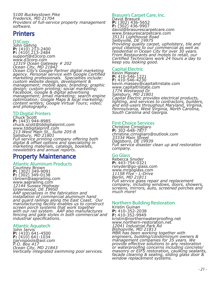*5100 Buckeystown Pike Frederick, MD 21704 Providers of full-service property management software.*

## **Printers**

D3Corp John Gehrig **P:** (410) 213-2400<br>**F:** (410) 213-2484<br>suppor<u>t</u>@d3corp.com support@d3corp.com<br>www.d3corp.com *12319 Ocean Gateway # 202 Ocean City, MD 21842 Ocean City's Google Partner digital marketing agency. Personal service with Google Certified marketing professionals. Specialties include: custom website design, development & management; mobile apps; branding; graphic design; custom printing; social marketing; Facebook, Google & digital advertising management; email marketing; search engine optimization; Google Maps & local marketing; content writers; Google Virtual Tours; video; and photography.*

#### TD Digital Printers

Chuck Scott<br>**P:** (443) 944-8985 **P:** (443) 944-8985 chuck.scott@tddigitalprint.com www.tddigitalprint.com *213 West Main St., Suite 205-B Salisbury, MD 21801 Full service printing company offering both digital & offset options and specializing in marketing materials, catalogs, booklets, newsletters and annual reports.*

## Property Maintenance

#### Atlantic Aluminum Products

Courtney Brown **P:** (302) 349-9091<br>**F:** (302) 349-0138<br>cbrown@aaprailing.com www.aaprailing.com *12144 Sussex Highway Greenwood, DE 19950 AAP specializes in the fabrication and installation of commercial aluminum hand and guard railings along the East Coast. Our manufacturing facility enables us to construct screen porch systems that work together with our rail system. AAP also manufactures fencing and gate styles in both commercial and industrial specifications.* 

#### Atlantic Aquatech

John Jarvis **P:** (410) 641-4500<br>**F:** (410) 641-1034<br>jjarvispools@aol.com *P.O. Box 417 Ocean City, MD 21843 Vertically integrated swimming pool services.*

#### Brasure's Carpet Care, Inc. David Brasure<br>**P:** (302) 436-5652<br>**F:** (302) 436-9907 **P:** (302) 436-5652 **F:** (302) 436-9907 david@brasurescarpetcare.com www.brasurescarpetcare.com *35131 Lighthouse Road Selbyville, DE 19975 Providing quality carpet, upholstery, tile and grout cleaning to our commercial as well as residential in Ocean City for over 30 years. From Restaurants and motels to retail, our Certified Technicians work 24 hours a day to*

#### Capital Electric

*keep you looking good.*

Kevin Massey **P:** 410-546-1221 **F:** 410-546-4230 kevin.massey@capitaltristate.com www.capitaltristate.com *1774 Westwood Dr Salisbury, MD 21801 Capital Electric provides electrical products, lighting, and services to contractors, builders, and end-users throughout Maryland, Virginia, Pennsylvania, West Virginia, North Carolina, South Carolina and Georgia.*

#### First Choice Services

Christine Cirnigliaro **P:** 302-648-7877 christine.cirnigliaro@outlook.com *33334 Main Street Dagsboro, DE 19939 Full service disaster clean up and restoration company.*

#### Go Glass

Rebecca Snyder **P:** 443-754-0321 rsnyder@go-glass.com www.mrgoglass.com *11158 Five - L-Drive Berlin, MD 21811 Full service glass repair and replacement company, including windows, doors, showers, screens, mirrors, auto, screened porches and much more!*

#### Northern Building Restoration

Kristin Guinan **P:** 410-352-2038 **F:** 410-352-9949 kristin@northernwaterproofing.net www.northern-restoration.net *12041 Industrial Park Rd Bishopville, MD 21813 MBR has been working together with engineers, building/condominium owners & management companies for 35 years. We provide effective solutions to any restoration or waterproofing concerns including concrete/ masonry or EIFS restoration, caulking sealants, facade cleaning & sealing, sliding glass door & window replacement systems.*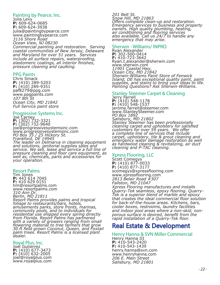#### Painting by Pearce, Inc.

Julia Levy **P:** 609-624-0685 **F:** 609-624-3938 julia@paintingbypearce.com www.paintingbypearce.com *3116 Shore Road Ocean View, NJ 08230 Commercial painting and restoration. Serving coastal communities of New Jersey, Delaware and Maryland for over 51 years. Services include all surface repairs, waterproofing, elastomeric coatings, all interior finishes, pressure cleaning and caulking.* 

#### PPG Paints

Chris Smack **P:** (410) 289-5203 **F:** (410) 289-9351 paf8279@ppg.com www.ppgpaints.com *107 8th St Ocean City, MD 21842 Full Service paint store*

#### Progressive Systems Inc.

Joe Carney **P:** (302) 732-3321<br>**F:** (302) 732-9640<br>joe@progressivesystemsinc.com www.progressivesystemsinc.com *PO Box 35 / 25 Hickory St. Frankford, DE 19945 The leader on Delmarva in cleaning equipment and solutions, janitorial supplies sales and service. We sell, lease and service a full line of pressure cleaning and floor care equipment, as well as, chemicals, parts and accessories for your operation.*

#### Resort Palms

Tim Jones **P:** 443 614 7045 **F:** 410 629 0151 tim@resortpalms.com www.resortpalms.com *310 Ann Dr. Berlin, MD 21811 Resort Palms provides palms and tropical foliage to restaurants/bars, hotels, amusements parks, store fronts, marinas, community pools, and to individuals for residential use shipped every spring directly from Florida. Resort Palms has partnered with a variety of growers ranging from small flowering material to tree farmers that grow 30 ft field grown Coconut, Queen, and Foxtail palm trees. Resort Palms is a licensed plant dealer.* 

#### Royal Plus, Inc.

Joel Gutierrez **P:** (410) 677-3473<br>**F:** (410) 632-2005<br>joel@royalplus.com www.royalplus.com *201 Belt St. Snow Hill, MD 21863 Offers complete clean-up and restoration. Emergency services to business and property owners. High quality plumbing, heating, air conditioning and flooring services also available. Call us 24/7 to handle any emergency that may arise.*

#### Sherwin - Williams/ INPRO

Ryan Alexander **P:** 302-500-0414 **F:** 410-723-3642 Ryan.t.alexander@sherwin.com www.sherwin.com *11901 Coastal Hwy. Ocean City, MD 21842 Sherwin-Williams Paint Store of Fenwick Island, DE has exceptional quality paint, paint supplies, and stains to bring your ideas to life. Painting Questions? Ask Sherwin-Williams.*

### Stanley Steemer Carpet & Cleaning

Jerry Farrell **P:** (410) 548-1178<br>**F:** (410) 548-1537<br>jerom<u>e</u>.farrell@steemer.com www.StanleySteemer.com *PO Box 1892 Salisbury, MD 21802 Stanley Steemer has been professionally cleaning carpet and upholstery for satisfied customers for over 59 years. We offer a complete line of services that include carpet, upholstery, tile & grout cleaning and emergency water damage restoration as well as hardwood cleaning & revitalizing, air duct cleaning and P-TAC cleaning.*

#### Xpress Flooring, LLC

Scott Comegys **P:** (410) 877-0033 **F:** (410) 877-3177 scomegys@xpressflooring.com www.xpressflooring.com *2813 Belair Road #307 Fallston, MD 21047 Xpress Flooring manufactures and installs Quarry-Tek seamless, epoxy flooring. Quarry-Tek is a superior blend of marble and epoxy that creates the ideal commercial floor solution for back-of-the-house areas. Kitchens, bars, cooler boxes, restrooms, laundry facilities and indoor pool areas where a non-skid, nonporous surface is desired, benefit from the rapid installation of a Quarry-Tek floor.* 

## Real Estate & Development

#### Henry Hanna & SVN Miller Commercial

Henry Hanna III **P:** 410-543-2420 **F:** 410-543-1439 henry.hanna@svn.com www.henryhanna.com *206 E. Main Street Salisbury, MD 21801*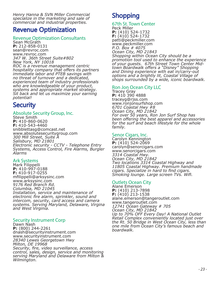*Henry Hanna & SVN Miller Commercial specialize in the marketing and sale of commercial and industrial properties.*

## Revenue Optimization

#### Revenue Optimization Consultants

Sean McGrath **P:** 212-858-0131 sean@revroc.com www.revroc.com *347 W. 36th Street Suite#802 New York, NY 10018 ROC is a revenue management centric hospitality company that offers its partners immediate labor and PTEB savings with no threat of turnover and a dedicated, experienced team of industry professionals who are knowledgeable of your product, systems and appropriate market strategy. Sit back and let us maximize your earning potential!*

## **Security**

#### Absolute Security Group, Inc.

Steve Smith **P:** 410-860-0620 **F:** 410-543-4460 snibblettasg@comcast.net www.absolutesecuritygroup.com *300 Mill Street, Suite A Salisbury, MD 21801 Electronic security - CCTV - Telephone Entry Systems, Access Control, Fire Alarms, Burgler Alarms* 

#### Ark Systems

Mark Filippelli **P:** 410-997-0188 **F:** 410-917-0255 mfilippelli@arksysinc.com www.arksysinc.com *9176 Red Branch Rd. Columbia, MD 21045 Installation, service and maintenance of electronic fire alarm, sprinkler, sound and intercom, security, card access and camera systems. Serving Maryland, Delaware, Virgina and West Virginia.* 

#### Security Instrument Corp

Dawn Nash **P:** (800) 244-2261 dnash@securityinstrument.com www.securityinstrument.com *28340 Lewes Georgetown Hwy Milton, DE 19968 Security, fire, video surveillance, access control, sales, design, service and monitoring serving Maryland and Delaware from Milton & Wilmington.*

## **Shopping**

#### 67th St. Town Center Peck Miller

**P:** (410) 524-1732 **F:** (410) 524-1732 patti@peckmiller.com www.peckmiller.com *P.O. Box # 4075 Ocean City, MD 21843 Shopping within Ocean City should be a promotion tool used to enhance the experience of your guests. 67th Street Town Center Midtown Boardwalk offers a "Disney" Shopping and Dining experience with eat in/carry-out options and a brightly lit, Coastal Village of shops surrounded by a wide, iconic boardwalk.*

#### Ron Jon Ocean City LLC

Tracey Gray **P:** 410 390 4888 traceyg@rjss.com www.ronjonsurfshop.com *6701 Coastal Hwy #8 Ocean City, MD 21842 For over 50 years, Ron Jon Surf Shop has been offering the best apparel and accessories for the surf and beach lifestyle for the whole family.*

#### Senor Cigars, Inc.

Carolyn Kennington **P:** (410) 524-2069 carolyn@senorcigars.com www.senorcigars.com *3314 Coastal Hwy. Ocean City, MD 21842 Two locations 3314 Coastal Highway and 11805 Coastal Highway. Premium handmade cigars. Specialize in hard to find cigars. Smoking lounge. Large screen TVs. Wifi.* 

#### Outlets Ocean City

Alane Emerson **P:** (410) 213-7898 **F:** (410) 213-1538 alane.emerson@tangeroutlet.com www.tangeroutlet.com *12741 Ocean Gateway # 705 Ocean City, MD 21842 Up to 70% OFF Every Day! A National Outlet Retail Complex conveniently located just over the Rt. 50 Bridge in West Ocean City, less than one mile from Ocean City's famous beach and boardwalk.*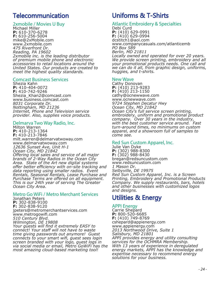## Telecommunication

#### 2xmobile / Movies U Buy

Michael Miller **P:** 610-370-6278 **F:** 610-256-5004 mike@2xMobile.com www.2xmobile.com *475 Riverfront Dr. Reading, PA 19602 2xmobile inc. is the leading distributor of premium mobile phone and electronic accessories to retail locations around the United States. Our products are created to meet the highest quality standards.* 

#### Comcast Business Services

Shezia Kahn **P:** 410-404-0072 **F:** 410-742-9246 Shezia\_Khan2@comcast.com www.business.comcast.com *8031 Corporate Dr. Nottingham, MD 21236 Internet, Phone and Television service provider. Also, supplies voice products.* 

#### Delmarva Two Way Radio, Inc.

Milton Warren **P:** 410-213-1364 **F:** 410-213-7846 milt.warren@delmarvatwoway.com www.delmarvatwoway.com *12636 Sunset Ave, Unit H-1 Ocean City, MD 21842 Offering local sales and service of all major brands of 2-Way Radios in the Ocean City Area. State of the Art new digital systems offer better efficiency with on-site tracking and data reporting using smaller radios. Event Rentals, Seasonal Rentals, Lease Purchase and Purchase Terms are offered on all equipment. This is our 24th year of serving The Greater Ocean City Area.*

#### Metro Go WiFi / Metro Merchant Services

Jonathan Peters **P:** 302-838-9100 **F:** 302-838-9120 jpeters@metromerchantservices.com www.metrogowifi.com *510 Century Blvd. Wilmington, DE 19808 Your guests will find it extremely EASY to connect! Your staff will not have to waste time giving passwords out anymore! Guest connects to your smart wifi, guest sees login screen branded with your logo, guest logs in via social media or email, Metro GoWiFi has the most amazing cloud-based marketing tool!* 

## Uniforms & T-Shirts

## Atlantic Embroidery & Specialties

Debi Curd **P:** (410) 629-0991 **F:** (410) 629-0994 dcstitch1@aol.com www.companycasuals.com/atlanticemb *PO Box 589 Berlin, MD 21811 Locally owned and operated for over 20 years. We provide screen printing, embroidery and all your promotional products needs. One call and we can do it all, from graphic design, uniforms, huggies, and t-shirts.* 

#### New Wave

Cathy Donovan **P:** (410) 213-9283 **F:** (410) 213-1150 cathy@ocnewwave.com www.ocnewwave.com *9724 Stephen Decatur Hwy Ocean City, MD 21842 Ocean City's full service screen printing, embroidery, uniform and promotional product company. Over 30 years in the industry, with the best customer service around. Fast turn-around times, no minimums on custom apparel, and a showroom full of samples to come see.*

#### Red Sun Custom Apparel, Inc.

Julie Van Dyke **P:** (302) 988-8300 **F:** (302) 988-8430 bregan@redsuncustom.com www.redsuncustom.com *1 Mason Dr. Selbyville, DE 19975 Red Sun Custom Apparel, Inc. is a Screen Printing, Embroidery and Promotional Products Company. We supply restaurants, bars, hotels and other businesses with customized logos and designs.*

## Utilities & Energy

#### APPI Energy

Carrie Shepard **P:** 800-520-6685 **F:** (410) 749-8769 cshepard@appienergy.com www.appienergy.com *2013 Northwood Drive, Suite 1 Salisbury, MD 21801 APPI provides energy and utility consulting services for the OCHMRA Membership. With 13 years of experience in deregulated energy markets, APPI has the knowledge and expertise necessary to recommend energy solutions for your business.*